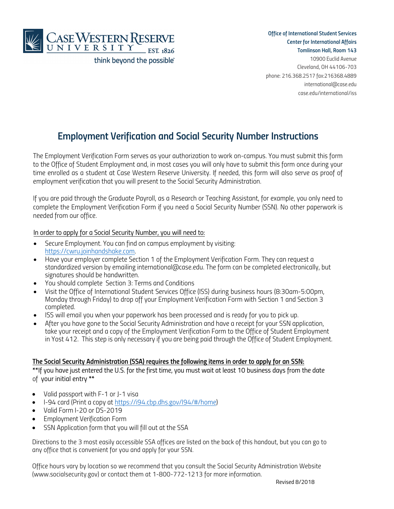

 **Office of International Student Services Center for International Affairs** 

**Tomlinson Hall, Room 143** 10900 Euclid Avenue Cleveland, OH 44106-703 phone: 216.368.2517 fax:216368.4889 international@case.edu case.edu/international/iss

# **Employment Verification and Social Security Number Instructions**

The Employment Verification Form serves as your authorization to work on-campus. You must submit this form to the Office of Student Employment and, in most cases you will only have to submit this form once during your time enrolled as a student at Case Western Reserve University. If needed, this form will also serve as proof of employment verification that you will present to the Social Security Administration.

If you are paid through the Graduate Payroll, as a Research or Teaching Assistant, for example, you only need to complete the Employment Verification Form if you need a Social Security Number (SSN). No other paperwork is needed from our office.

### In order to apply for a Social Security Number, you will need to:

- Secure Employment. You can find on campus employment by visiting: https://cwru.joinhandshake.com.
- Have your employer complete Section 1 of the Employment Verification Form. They can request a standardized version by emailing international@case.edu. The form can be completed electronically, but signatures should be handwritten.
- You should complete Section 3: Terms and Conditions
- Visit the Office of International Student Services Office (ISS) during business hours (8:30am-5:00pm, Monday through Friday) to drop off your Employment Verification Form with Section 1 and Section 3 completed.
- ISS will email you when your paperwork has been processed and is ready for you to pick up.
- After you have gone to the Social Security Administration and have a receipt for your SSN application, take your receipt and a copy of the Employment Verification Form to the Office of Student Employment in Yost 412. This step is only necessary if you are being paid through the Office of Student Employment.

#### **The Social Security Administration (SSA) requires the following items in order to apply for an SSN:**

**\*\***If you have just entered the U.S. for the first time, you must wait at least 10 business days from the date of your initial entry **\*\***

- Valid passport with F-1 or J-1 visa
- I-94 card (Print a copy at https://i94.cbp.dhs.gov/I94/#/home)
- Valid Form I-20 or DS-2019
- Employment Verification Form
- SSN Application form that you will fill out at the SSA

Directions to the 3 most easily accessible SSA offices are listed on the back of this handout, but you can go to any office that is convenient for you and apply for your SSN.

Office hours vary by location so we recommend that you consult the Social Security Administration Website (www.socialsecurity.gov) or contact them at 1-800-772-1213 for more information.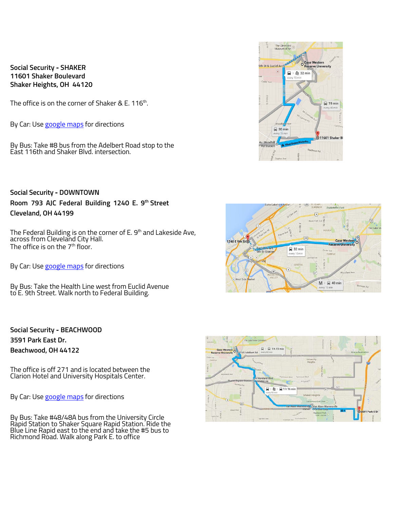**Social Security - SHAKER 11601 Shaker Boulevard Shaker Heights, OH 44120**

The office is on the corner of Shaker & E. 116 $^{\rm th}$ .

By Car: Use google maps for directions

By Bus: Take #8 bus from the Adelbert Road stop to the East 116th and Shaker Blvd. intersection.

**Social Security - DOWNTOWN Room 793 AJC Federal Building 1240 E. 9 th Street Cleveland, OH 44199** 

The Federal Building is on the corner of E. 9 $^{\rm th}$  and Lakeside Ave, across from Cleveland City Hall. The office is on the 7<sup>th</sup> floor.

By Car: Use google maps for directions

By Bus: Take the Health Line west from Euclid Avenue to E. 9th Street. Walk north to Federal Building.

**Social Security - BEACHWOOD 3591 Park East Dr. Beachwood, OH 44122** 

The office is off 271 and is located between the Clarion Hotel and University Hospitals Center.

By Car: Use google maps for directions

By Bus: Take #48/48A bus from the University Circle Rapid Station to Shaker Square Rapid Station. Ride the Blue Line Rapid east to the end and take the #5 bus to Richmond Road. Walk along Park E. to office





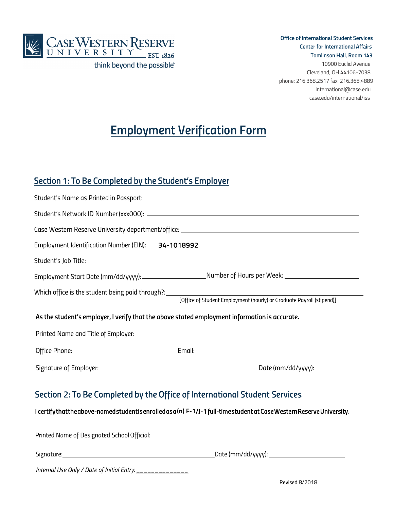

 **Office of International Student Services Center for International Affairs Tomlinson Hall, Room 143** 10900 Euclid Avenue Cleveland, OH 44106-7038 phone: 216.368.2517 fax: 216.368.4889 international@case.edu case.edu/international/iss

# **Employment Verification Form**

### *Section 1: To Be Completed by the Student's Employer*

| Employment Identification Number (EIN): 34-1018992                                            |                                                                           |  |  |
|-----------------------------------------------------------------------------------------------|---------------------------------------------------------------------------|--|--|
|                                                                                               |                                                                           |  |  |
|                                                                                               |                                                                           |  |  |
| Which office is the student being paid through?: \[\essequentility relationshipsed by         | [Office of Student Employment (hourly) or Graduate Payroll (stipend)]     |  |  |
| As the student's employer, I verify that the above stated employment information is accurate. |                                                                           |  |  |
|                                                                                               |                                                                           |  |  |
|                                                                                               |                                                                           |  |  |
|                                                                                               |                                                                           |  |  |
|                                                                                               | Costian 3. To De Campletod buthe Office of International Ctudent Convices |  |  |

## *Section 2: To Be Completed by the Office of International Student Services*

*I certify that the above-named student is enrolled as a* **(n) F-1***/J-1 full-time student at Case Western Reserve University.* 

| Printed Name of Designated School Official:   |                    |  |
|-----------------------------------------------|--------------------|--|
| Signature:                                    | Date (mm/dd/yyyy): |  |
| Internal Use Only / Date of Initial Entry: __ |                    |  |